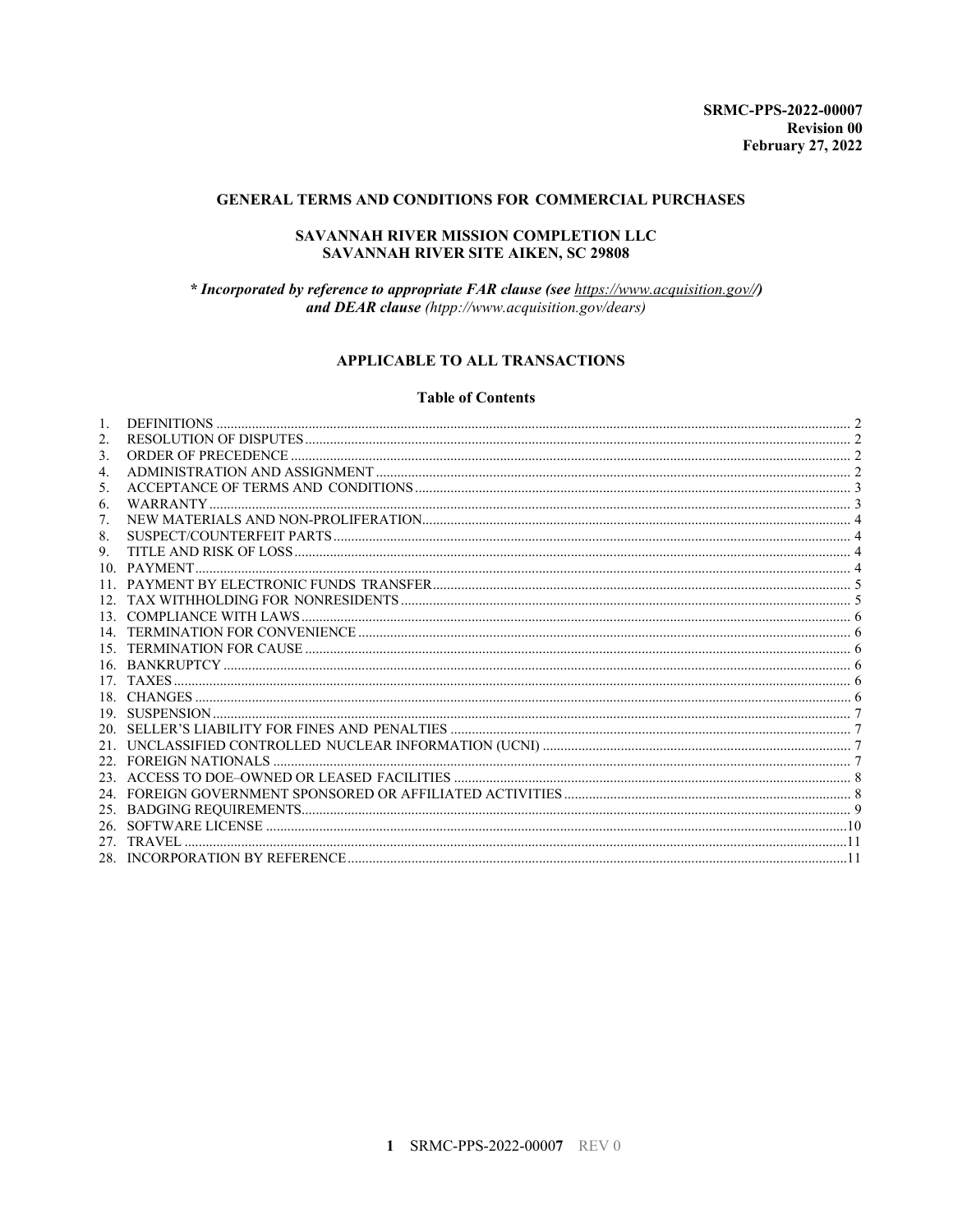### GENERAL TERMS AND CONDITIONS FOR COMMERCIAL PURCHASES

### SAVANNAH RIVER MISSION COMPLETION LLC SAVANNAH RIVER SITE AIKEN, SC 29808

\* Incorporated by reference to appropriate FAR clause (see https://www.acquisition.gov//) and DEAR clause (htpp://www.acquisition.gov/dears)

# **APPLICABLE TO ALL TRANSACTIONS**

#### **Table of Contents**

| 12 <sup>7</sup> |  |
|-----------------|--|
| 13 <sub>1</sub> |  |
|                 |  |
|                 |  |
|                 |  |
|                 |  |
|                 |  |
|                 |  |
|                 |  |
|                 |  |
|                 |  |
|                 |  |
|                 |  |
|                 |  |
|                 |  |
|                 |  |
|                 |  |
|                 |  |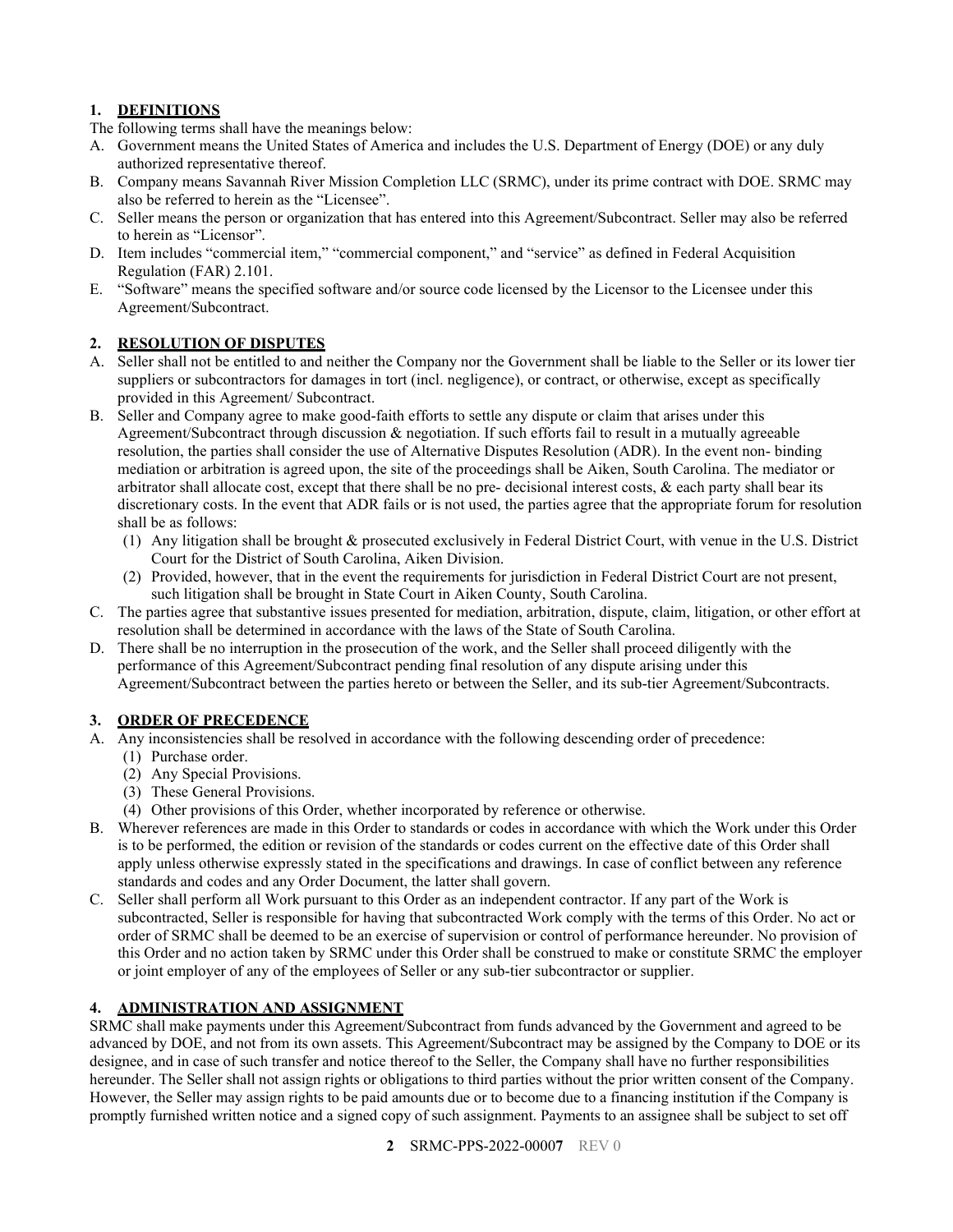# <span id="page-1-0"></span>**1. DEFINITIONS**

The following terms shall have the meanings below:

- A. Government means the United States of America and includes the U.S. Department of Energy (DOE) or any duly authorized representative thereof.
- B. Company means Savannah River Mission Completion LLC (SRMC), under its prime contract with DOE. SRMC may also be referred to herein as the "Licensee".
- C. Seller means the person or organization that has entered into this Agreement/Subcontract. Seller may also be referred to herein as "Licensor".
- D. Item includes "commercial item," "commercial component," and "service" as defined in Federal Acquisition Regulation (FAR) 2.101.
- E. "Software" means the specified software and/or source code licensed by the Licensor to the Licensee under this Agreement/Subcontract.

#### <span id="page-1-1"></span>**2. RESOLUTION OF DISPUTES**

- A. Seller shall not be entitled to and neither the Company nor the Government shall be liable to the Seller or its lower tier suppliers or subcontractors for damages in tort (incl. negligence), or contract, or otherwise, except as specifically provided in this Agreement/ Subcontract.
- B. Seller and Company agree to make good-faith efforts to settle any dispute or claim that arises under this Agreement/Subcontract through discussion & negotiation. If such efforts fail to result in a mutually agreeable resolution, the parties shall consider the use of Alternative Disputes Resolution (ADR). In the event non- binding mediation or arbitration is agreed upon, the site of the proceedings shall be Aiken, South Carolina. The mediator or arbitrator shall allocate cost, except that there shall be no pre- decisional interest costs, & each party shall bear its discretionary costs. In the event that ADR fails or is not used, the parties agree that the appropriate forum for resolution shall be as follows:
	- (1) Any litigation shall be brought & prosecuted exclusively in Federal District Court, with venue in the U.S. District Court for the District of South Carolina, Aiken Division.
	- (2) Provided, however, that in the event the requirements for jurisdiction in Federal District Court are not present, such litigation shall be brought in State Court in Aiken County, South Carolina.
- C. The parties agree that substantive issues presented for mediation, arbitration, dispute, claim, litigation, or other effort at resolution shall be determined in accordance with the laws of the State of South Carolina.
- D. There shall be no interruption in the prosecution of the work, and the Seller shall proceed diligently with the performance of this Agreement/Subcontract pending final resolution of any dispute arising under this Agreement/Subcontract between the parties hereto or between the Seller, and its sub-tier Agreement/Subcontracts.

#### <span id="page-1-2"></span>**3. ORDER OF PRECEDENCE**

- A. Any inconsistencies shall be resolved in accordance with the following descending order of precedence:
	- (1) Purchase order.
	- (2) Any Special Provisions.
	- (3) These General Provisions.
	- (4) Other provisions of this Order, whether incorporated by reference or otherwise.
- B. Wherever references are made in this Order to standards or codes in accordance with which the Work under this Order is to be performed, the edition or revision of the standards or codes current on the effective date of this Order shall apply unless otherwise expressly stated in the specifications and drawings. In case of conflict between any reference standards and codes and any Order Document, the latter shall govern.
- C. Seller shall perform all Work pursuant to this Order as an independent contractor. If any part of the Work is subcontracted, Seller is responsible for having that subcontracted Work comply with the terms of this Order. No act or order of SRMC shall be deemed to be an exercise of supervision or control of performance hereunder. No provision of this Order and no action taken by SRMC under this Order shall be construed to make or constitute SRMC the employer or joint employer of any of the employees of Seller or any sub-tier subcontractor or supplier.

# <span id="page-1-3"></span>**4. ADMINISTRATION AND ASSIGNMENT**

SRMC shall make payments under this Agreement/Subcontract from funds advanced by the Government and agreed to be advanced by DOE, and not from its own assets. This Agreement/Subcontract may be assigned by the Company to DOE or its designee, and in case of such transfer and notice thereof to the Seller, the Company shall have no further responsibilities hereunder. The Seller shall not assign rights or obligations to third parties without the prior written consent of the Company. However, the Seller may assign rights to be paid amounts due or to become due to a financing institution if the Company is promptly furnished written notice and a signed copy of such assignment. Payments to an assignee shall be subject to set off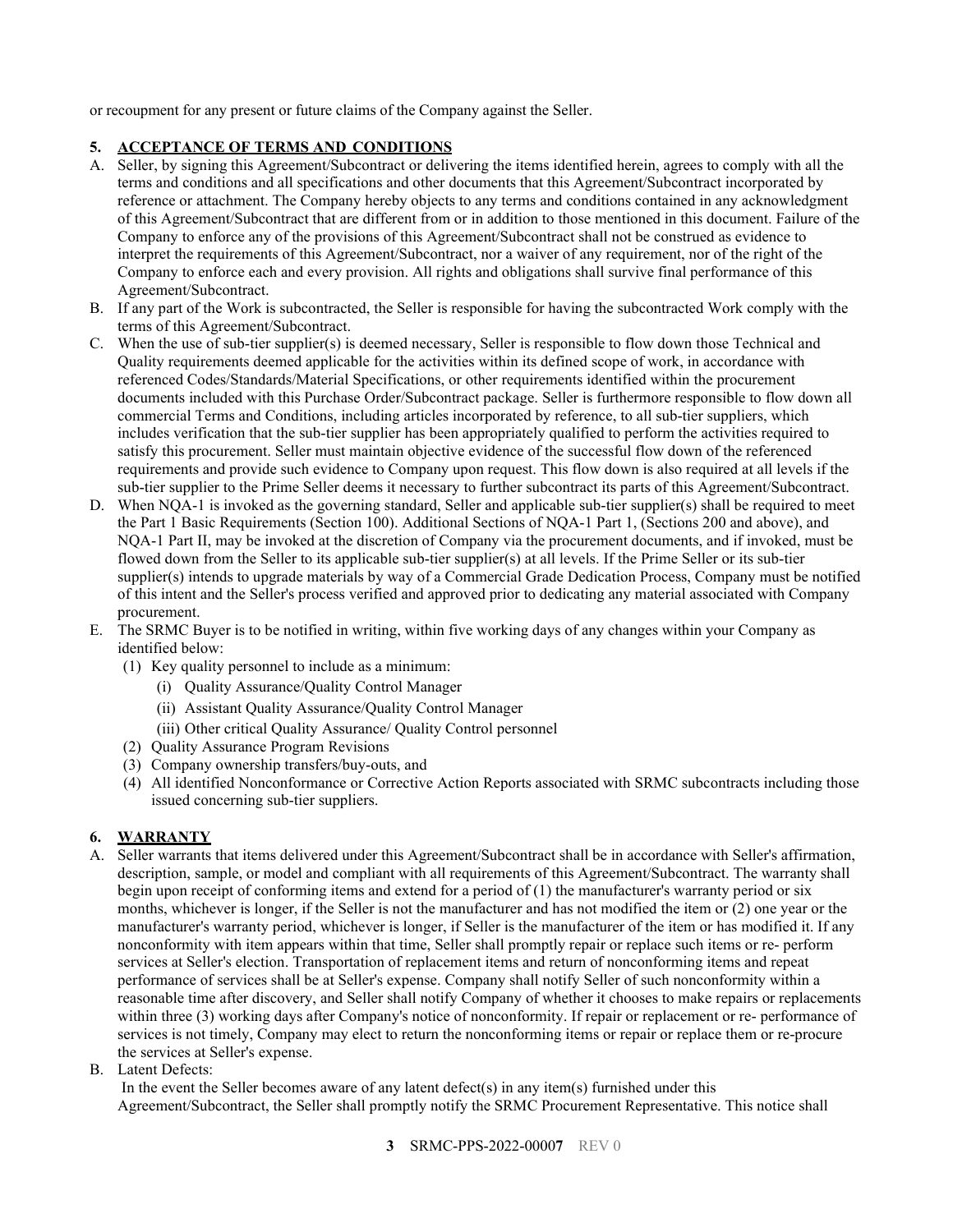or recoupment for any present or future claims of the Company against the Seller.

### <span id="page-2-0"></span>**5. ACCEPTANCE OF TERMS AND CONDITIONS**

- A. Seller, by signing this Agreement/Subcontract or delivering the items identified herein, agrees to comply with all the terms and conditions and all specifications and other documents that this Agreement/Subcontract incorporated by reference or attachment. The Company hereby objects to any terms and conditions contained in any acknowledgment of this Agreement/Subcontract that are different from or in addition to those mentioned in this document. Failure of the Company to enforce any of the provisions of this Agreement/Subcontract shall not be construed as evidence to interpret the requirements of this Agreement/Subcontract, nor a waiver of any requirement, nor of the right of the Company to enforce each and every provision. All rights and obligations shall survive final performance of this Agreement/Subcontract.
- B. If any part of the Work is subcontracted, the Seller is responsible for having the subcontracted Work comply with the terms of this Agreement/Subcontract.
- C. When the use of sub-tier supplier(s) is deemed necessary, Seller is responsible to flow down those Technical and Quality requirements deemed applicable for the activities within its defined scope of work, in accordance with referenced Codes/Standards/Material Specifications, or other requirements identified within the procurement documents included with this Purchase Order/Subcontract package. Seller is furthermore responsible to flow down all commercial Terms and Conditions, including articles incorporated by reference, to all sub-tier suppliers, which includes verification that the sub-tier supplier has been appropriately qualified to perform the activities required to satisfy this procurement. Seller must maintain objective evidence of the successful flow down of the referenced requirements and provide such evidence to Company upon request. This flow down is also required at all levels if the sub-tier supplier to the Prime Seller deems it necessary to further subcontract its parts of this Agreement/Subcontract.
- D. When NQA-1 is invoked as the governing standard, Seller and applicable sub-tier supplier(s) shall be required to meet the Part 1 Basic Requirements (Section 100). Additional Sections of NQA-1 Part 1, (Sections 200 and above), and NQA-1 Part II, may be invoked at the discretion of Company via the procurement documents, and if invoked, must be flowed down from the Seller to its applicable sub-tier supplier(s) at all levels. If the Prime Seller or its sub-tier supplier(s) intends to upgrade materials by way of a Commercial Grade Dedication Process, Company must be notified of this intent and the Seller's process verified and approved prior to dedicating any material associated with Company procurement.
- E. The SRMC Buyer is to be notified in writing, within five working days of any changes within your Company as identified below:
	- (1) Key quality personnel to include as a minimum:
		- (i) Quality Assurance/Quality Control Manager
		- (ii) Assistant Quality Assurance/Quality Control Manager
		- (iii) Other critical Quality Assurance/ Quality Control personnel
	- (2) Quality Assurance Program Revisions
	- (3) Company ownership transfers/buy-outs, and
	- (4) All identified Nonconformance or Corrective Action Reports associated with SRMC subcontracts including those issued concerning sub-tier suppliers.

# <span id="page-2-1"></span>**6. WARRANTY**

- A. Seller warrants that items delivered under this Agreement/Subcontract shall be in accordance with Seller's affirmation, description, sample, or model and compliant with all requirements of this Agreement/Subcontract. The warranty shall begin upon receipt of conforming items and extend for a period of (1) the manufacturer's warranty period or six months, whichever is longer, if the Seller is not the manufacturer and has not modified the item or (2) one year or the manufacturer's warranty period, whichever is longer, if Seller is the manufacturer of the item or has modified it. If any nonconformity with item appears within that time, Seller shall promptly repair or replace such items or re- perform services at Seller's election. Transportation of replacement items and return of nonconforming items and repeat performance of services shall be at Seller's expense. Company shall notify Seller of such nonconformity within a reasonable time after discovery, and Seller shall notify Company of whether it chooses to make repairs or replacements within three (3) working days after Company's notice of nonconformity. If repair or replacement or re- performance of services is not timely, Company may elect to return the nonconforming items or repair or replace them or re-procure the services at Seller's expense.
- B. Latent Defects:

In the event the Seller becomes aware of any latent defect(s) in any item(s) furnished under this Agreement/Subcontract, the Seller shall promptly notify the SRMC Procurement Representative. This notice shall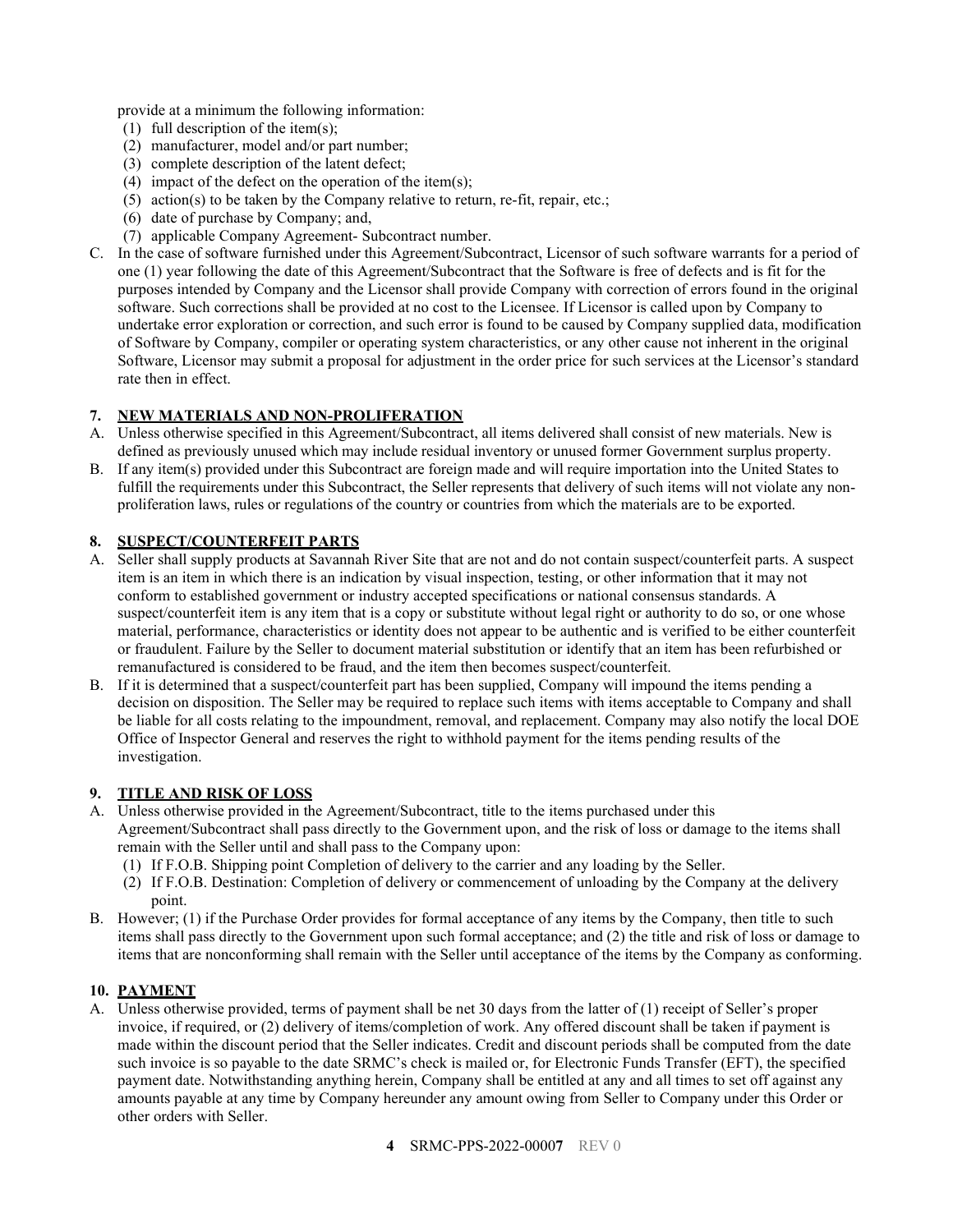provide at a minimum the following information:

- (1) full description of the item(s);
- (2) manufacturer, model and/or part number;
- (3) complete description of the latent defect;
- (4) impact of the defect on the operation of the item(s);
- (5) action(s) to be taken by the Company relative to return, re-fit, repair, etc.;
- (6) date of purchase by Company; and,
- (7) applicable Company Agreement- Subcontract number.
- C. In the case of software furnished under this Agreement/Subcontract, Licensor of such software warrants for a period of one (1) year following the date of this Agreement/Subcontract that the Software is free of defects and is fit for the purposes intended by Company and the Licensor shall provide Company with correction of errors found in the original software. Such corrections shall be provided at no cost to the Licensee. If Licensor is called upon by Company to undertake error exploration or correction, and such error is found to be caused by Company supplied data, modification of Software by Company, compiler or operating system characteristics, or any other cause not inherent in the original Software, Licensor may submit a proposal for adjustment in the order price for such services at the Licensor's standard rate then in effect.

#### <span id="page-3-0"></span>**7. NEW MATERIALS AND NON-PROLIFERATION**

- A. Unless otherwise specified in this Agreement/Subcontract, all items delivered shall consist of new materials. New is defined as previously unused which may include residual inventory or unused former Government surplus property.
- B. If any item(s) provided under this Subcontract are foreign made and will require importation into the United States to fulfill the requirements under this Subcontract, the Seller represents that delivery of such items will not violate any nonproliferation laws, rules or regulations of the country or countries from which the materials are to be exported.

#### <span id="page-3-1"></span>**8. SUSPECT/COUNTERFEIT PARTS**

- A. Seller shall supply products at Savannah River Site that are not and do not contain suspect/counterfeit parts. A suspect item is an item in which there is an indication by visual inspection, testing, or other information that it may not conform to established government or industry accepted specifications or national consensus standards. A suspect/counterfeit item is any item that is a copy or substitute without legal right or authority to do so, or one whose material, performance, characteristics or identity does not appear to be authentic and is verified to be either counterfeit or fraudulent. Failure by the Seller to document material substitution or identify that an item has been refurbished or remanufactured is considered to be fraud, and the item then becomes suspect/counterfeit.
- B. If it is determined that a suspect/counterfeit part has been supplied, Company will impound the items pending a decision on disposition. The Seller may be required to replace such items with items acceptable to Company and shall be liable for all costs relating to the impoundment, removal, and replacement. Company may also notify the local DOE Office of Inspector General and reserves the right to withhold payment for the items pending results of the investigation.

#### <span id="page-3-2"></span>**9. TITLE AND RISK OF LOSS**

- A. Unless otherwise provided in the Agreement/Subcontract, title to the items purchased under this Agreement/Subcontract shall pass directly to the Government upon, and the risk of loss or damage to the items shall remain with the Seller until and shall pass to the Company upon:
	- (1) If F.O.B. Shipping point Completion of delivery to the carrier and any loading by the Seller.
	- (2) If F.O.B. Destination: Completion of delivery or commencement of unloading by the Company at the delivery point.
- B. However; (1) if the Purchase Order provides for formal acceptance of any items by the Company, then title to such items shall pass directly to the Government upon such formal acceptance; and (2) the title and risk of loss or damage to items that are nonconforming shall remain with the Seller until acceptance of the items by the Company as conforming.

#### <span id="page-3-3"></span>**10. PAYMENT**

A. Unless otherwise provided, terms of payment shall be net 30 days from the latter of (1) receipt of Seller's proper invoice, if required, or (2) delivery of items/completion of work. Any offered discount shall be taken if payment is made within the discount period that the Seller indicates. Credit and discount periods shall be computed from the date such invoice is so payable to the date SRMC's check is mailed or, for Electronic Funds Transfer (EFT), the specified payment date. Notwithstanding anything herein, Company shall be entitled at any and all times to set off against any amounts payable at any time by Company hereunder any amount owing from Seller to Company under this Order or other orders with Seller.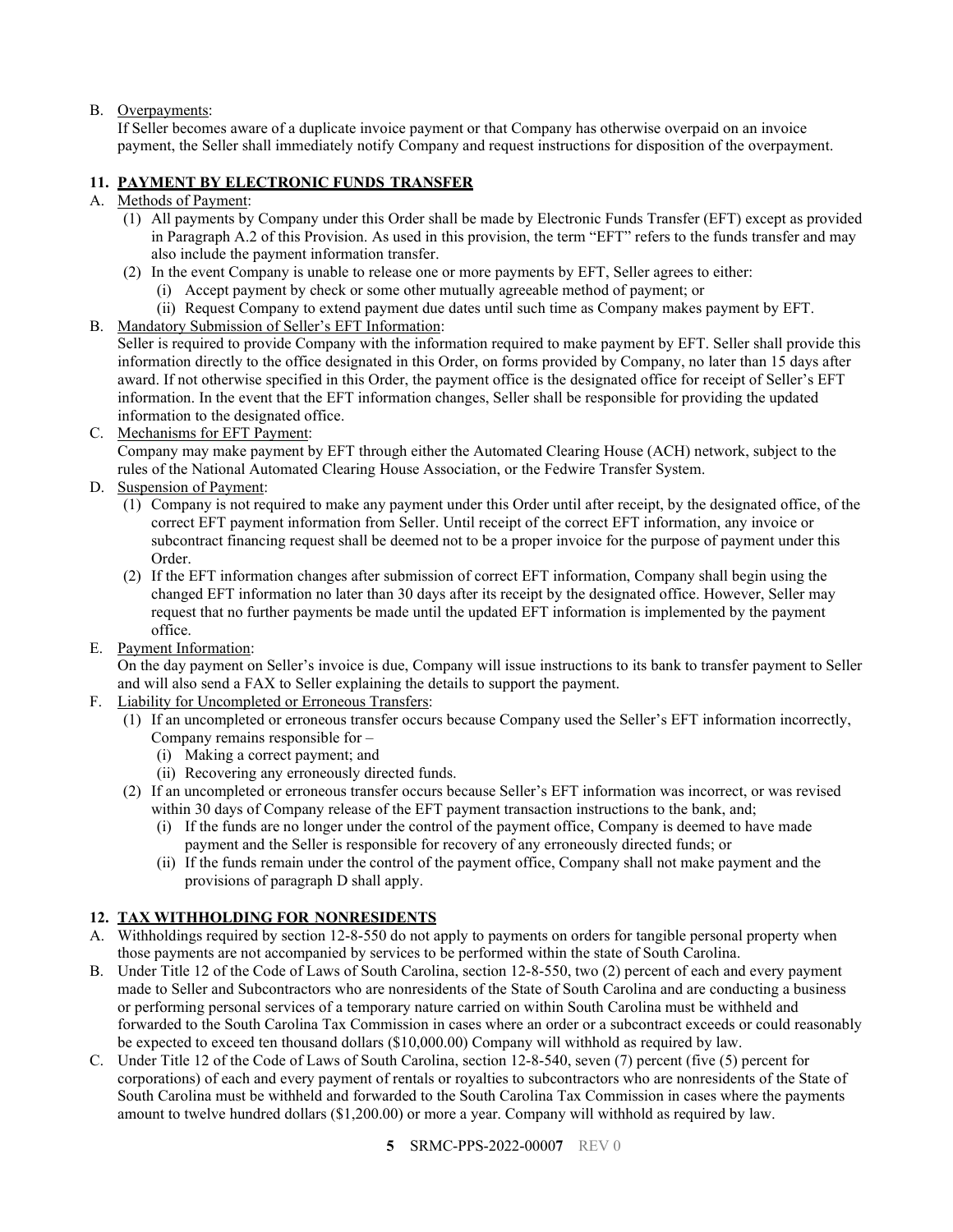# B. Overpayments:

If Seller becomes aware of a duplicate invoice payment or that Company has otherwise overpaid on an invoice payment, the Seller shall immediately notify Company and request instructions for disposition of the overpayment.

# <span id="page-4-0"></span>**11. PAYMENT BY ELECTRONIC FUNDS TRANSFER**

### A. Methods of Payment:

- (1) All payments by Company under this Order shall be made by Electronic Funds Transfer (EFT) except as provided in Paragraph A.2 of this Provision. As used in this provision, the term "EFT" refers to the funds transfer and may also include the payment information transfer.
- (2) In the event Company is unable to release one or more payments by EFT, Seller agrees to either:
	- (i) Accept payment by check or some other mutually agreeable method of payment; or
	- (ii) Request Company to extend payment due dates until such time as Company makes payment by EFT.

#### B. Mandatory Submission of Seller's EFT Information:

Seller is required to provide Company with the information required to make payment by EFT. Seller shall provide this information directly to the office designated in this Order, on forms provided by Company, no later than 15 days after award. If not otherwise specified in this Order, the payment office is the designated office for receipt of Seller's EFT information. In the event that the EFT information changes, Seller shall be responsible for providing the updated information to the designated office.

C. Mechanisms for EFT Payment:

Company may make payment by EFT through either the Automated Clearing House (ACH) network, subject to the rules of the National Automated Clearing House Association, or the Fedwire Transfer System.

- D. Suspension of Payment:
	- (1) Company is not required to make any payment under this Order until after receipt, by the designated office, of the correct EFT payment information from Seller. Until receipt of the correct EFT information, any invoice or subcontract financing request shall be deemed not to be a proper invoice for the purpose of payment under this Order.
	- (2) If the EFT information changes after submission of correct EFT information, Company shall begin using the changed EFT information no later than 30 days after its receipt by the designated office. However, Seller may request that no further payments be made until the updated EFT information is implemented by the payment office.
- E. Payment Information:

On the day payment on Seller's invoice is due, Company will issue instructions to its bank to transfer payment to Seller and will also send a FAX to Seller explaining the details to support the payment.

- F. Liability for Uncompleted or Erroneous Transfers:
	- (1) If an uncompleted or erroneous transfer occurs because Company used the Seller's EFT information incorrectly, Company remains responsible for –
		- (i) Making a correct payment; and
		- (ii) Recovering any erroneously directed funds.
	- (2) If an uncompleted or erroneous transfer occurs because Seller's EFT information was incorrect, or was revised within 30 days of Company release of the EFT payment transaction instructions to the bank, and;
		- (i) If the funds are no longer under the control of the payment office, Company is deemed to have made payment and the Seller is responsible for recovery of any erroneously directed funds; or
		- (ii) If the funds remain under the control of the payment office, Company shall not make payment and the provisions of paragraph D shall apply.

# <span id="page-4-1"></span>**12. TAX WITHHOLDING FOR NONRESIDENTS**

- A. Withholdings required by section 12-8-550 do not apply to payments on orders for tangible personal property when those payments are not accompanied by services to be performed within the state of South Carolina.
- B. Under Title 12 of the Code of Laws of South Carolina, section 12-8-550, two (2) percent of each and every payment made to Seller and Subcontractors who are nonresidents of the State of South Carolina and are conducting a business or performing personal services of a temporary nature carried on within South Carolina must be withheld and forwarded to the South Carolina Tax Commission in cases where an order or a subcontract exceeds or could reasonably be expected to exceed ten thousand dollars (\$10,000.00) Company will withhold as required by law.
- C. Under Title 12 of the Code of Laws of South Carolina, section 12-8-540, seven (7) percent (five (5) percent for corporations) of each and every payment of rentals or royalties to subcontractors who are nonresidents of the State of South Carolina must be withheld and forwarded to the South Carolina Tax Commission in cases where the payments amount to twelve hundred dollars (\$1,200.00) or more a year. Company will withhold as required by law.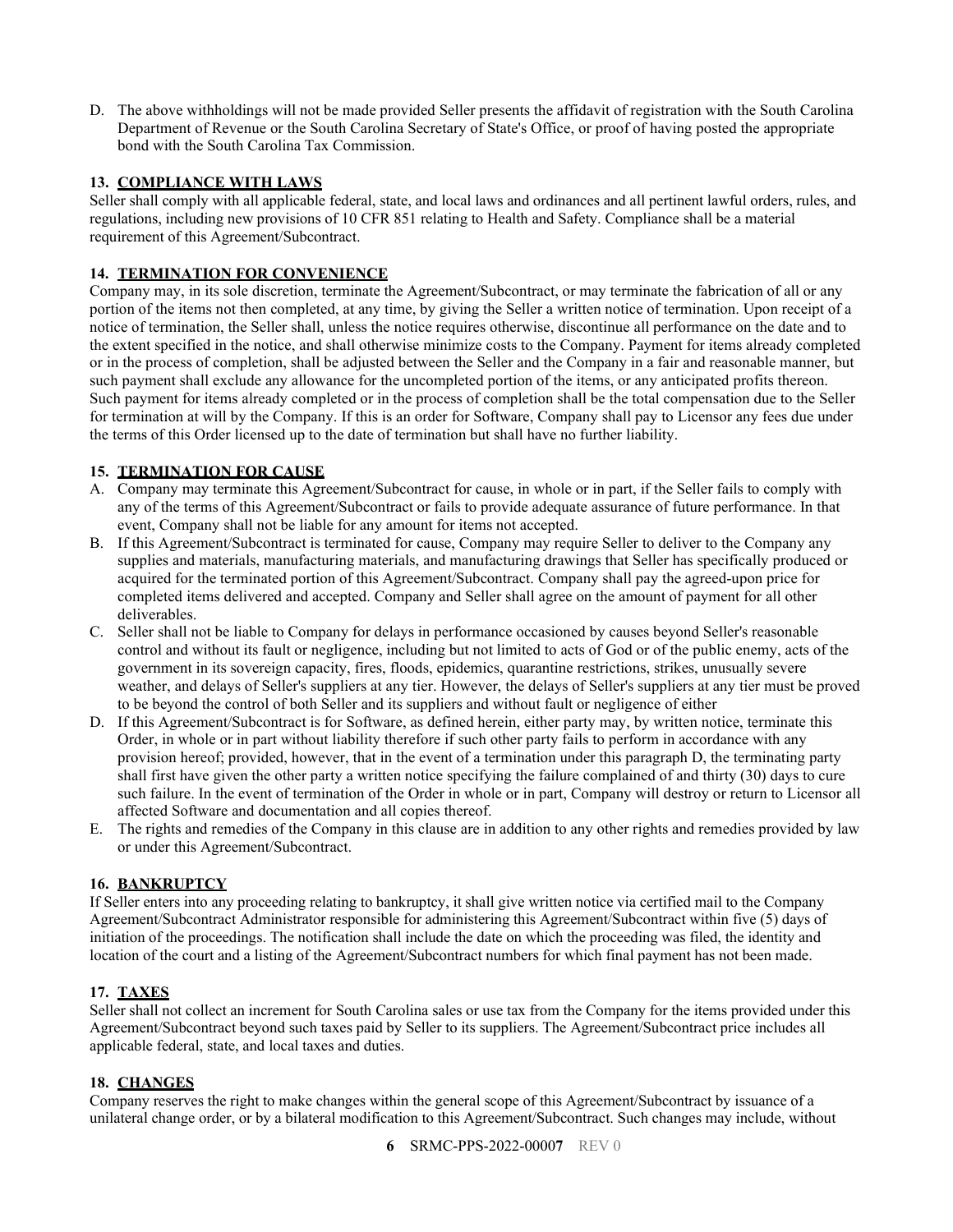D. The above withholdings will not be made provided Seller presents the affidavit of registration with the South Carolina Department of Revenue or the South Carolina Secretary of State's Office, or proof of having posted the appropriate bond with the South Carolina Tax Commission.

# <span id="page-5-0"></span>**13. COMPLIANCE WITH LAWS**

Seller shall comply with all applicable federal, state, and local laws and ordinances and all pertinent lawful orders, rules, and regulations, including new provisions of 10 CFR 851 relating to Health and Safety. Compliance shall be a material requirement of this Agreement/Subcontract.

# <span id="page-5-1"></span>**14. TERMINATION FOR CONVENIENCE**

Company may, in its sole discretion, terminate the Agreement/Subcontract, or may terminate the fabrication of all or any portion of the items not then completed, at any time, by giving the Seller a written notice of termination. Upon receipt of a notice of termination, the Seller shall, unless the notice requires otherwise, discontinue all performance on the date and to the extent specified in the notice, and shall otherwise minimize costs to the Company. Payment for items already completed or in the process of completion, shall be adjusted between the Seller and the Company in a fair and reasonable manner, but such payment shall exclude any allowance for the uncompleted portion of the items, or any anticipated profits thereon. Such payment for items already completed or in the process of completion shall be the total compensation due to the Seller for termination at will by the Company. If this is an order for Software, Company shall pay to Licensor any fees due under the terms of this Order licensed up to the date of termination but shall have no further liability.

# <span id="page-5-2"></span>**15. TERMINATION FOR CAUSE**

- A. Company may terminate this Agreement/Subcontract for cause, in whole or in part, if the Seller fails to comply with any of the terms of this Agreement/Subcontract or fails to provide adequate assurance of future performance. In that event, Company shall not be liable for any amount for items not accepted.
- B. If this Agreement/Subcontract is terminated for cause, Company may require Seller to deliver to the Company any supplies and materials, manufacturing materials, and manufacturing drawings that Seller has specifically produced or acquired for the terminated portion of this Agreement/Subcontract. Company shall pay the agreed-upon price for completed items delivered and accepted. Company and Seller shall agree on the amount of payment for all other deliverables.
- C. Seller shall not be liable to Company for delays in performance occasioned by causes beyond Seller's reasonable control and without its fault or negligence, including but not limited to acts of God or of the public enemy, acts of the government in its sovereign capacity, fires, floods, epidemics, quarantine restrictions, strikes, unusually severe weather, and delays of Seller's suppliers at any tier. However, the delays of Seller's suppliers at any tier must be proved to be beyond the control of both Seller and its suppliers and without fault or negligence of either
- D. If this Agreement/Subcontract is for Software, as defined herein, either party may, by written notice, terminate this Order, in whole or in part without liability therefore if such other party fails to perform in accordance with any provision hereof; provided, however, that in the event of a termination under this paragraph D, the terminating party shall first have given the other party a written notice specifying the failure complained of and thirty (30) days to cure such failure. In the event of termination of the Order in whole or in part, Company will destroy or return to Licensor all affected Software and documentation and all copies thereof.
- E. The rights and remedies of the Company in this clause are in addition to any other rights and remedies provided by law or under this Agreement/Subcontract.

# <span id="page-5-3"></span>**16. BANKRUPTCY**

If Seller enters into any proceeding relating to bankruptcy, it shall give written notice via certified mail to the Company Agreement/Subcontract Administrator responsible for administering this Agreement/Subcontract within five (5) days of initiation of the proceedings. The notification shall include the date on which the proceeding was filed, the identity and location of the court and a listing of the Agreement/Subcontract numbers for which final payment has not been made.

# <span id="page-5-4"></span>**17. TAXES**

Seller shall not collect an increment for South Carolina sales or use tax from the Company for the items provided under this Agreement/Subcontract beyond such taxes paid by Seller to its suppliers. The Agreement/Subcontract price includes all applicable federal, state, and local taxes and duties.

# <span id="page-5-5"></span>**18. CHANGES**

Company reserves the right to make changes within the general scope of this Agreement/Subcontract by issuance of a unilateral change order, or by a bilateral modification to this Agreement/Subcontract. Such changes may include, without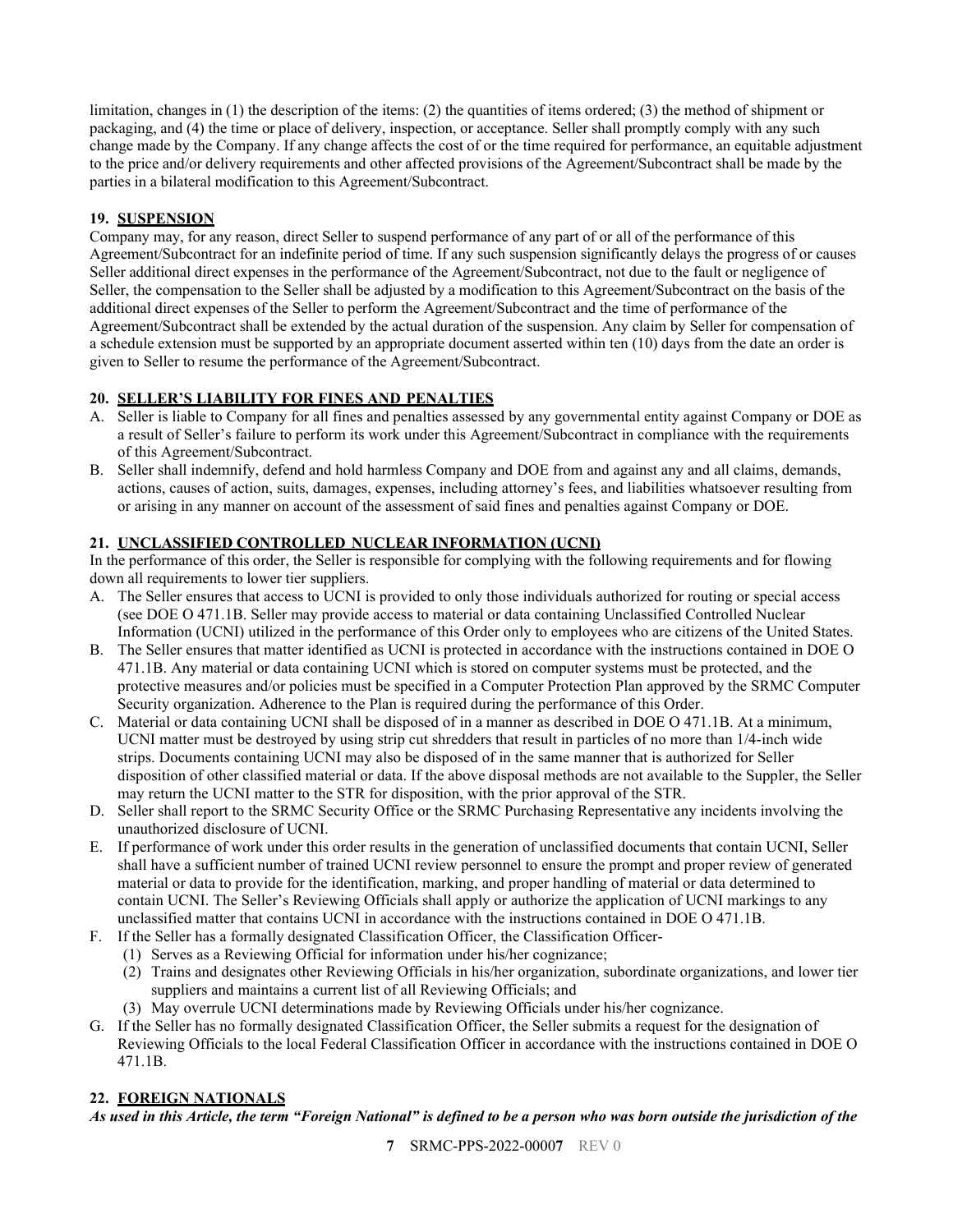limitation, changes in (1) the description of the items: (2) the quantities of items ordered; (3) the method of shipment or packaging, and (4) the time or place of delivery, inspection, or acceptance. Seller shall promptly comply with any such change made by the Company. If any change affects the cost of or the time required for performance, an equitable adjustment to the price and/or delivery requirements and other affected provisions of the Agreement/Subcontract shall be made by the parties in a bilateral modification to this Agreement/Subcontract.

# <span id="page-6-0"></span>**19. SUSPENSION**

Company may, for any reason, direct Seller to suspend performance of any part of or all of the performance of this Agreement/Subcontract for an indefinite period of time. If any such suspension significantly delays the progress of or causes Seller additional direct expenses in the performance of the Agreement/Subcontract, not due to the fault or negligence of Seller, the compensation to the Seller shall be adjusted by a modification to this Agreement/Subcontract on the basis of the additional direct expenses of the Seller to perform the Agreement/Subcontract and the time of performance of the Agreement/Subcontract shall be extended by the actual duration of the suspension. Any claim by Seller for compensation of a schedule extension must be supported by an appropriate document asserted within ten (10) days from the date an order is given to Seller to resume the performance of the Agreement/Subcontract.

# <span id="page-6-1"></span>**20. SELLER'S LIABILITY FOR FINES AND PENALTIES**

- A. Seller is liable to Company for all fines and penalties assessed by any governmental entity against Company or DOE as a result of Seller's failure to perform its work under this Agreement/Subcontract in compliance with the requirements of this Agreement/Subcontract.
- B. Seller shall indemnify, defend and hold harmless Company and DOE from and against any and all claims, demands, actions, causes of action, suits, damages, expenses, including attorney's fees, and liabilities whatsoever resulting from or arising in any manner on account of the assessment of said fines and penalties against Company or DOE.

# <span id="page-6-2"></span>**21. UNCLASSIFIED CONTROLLED NUCLEAR INFORMATION (UCNI)**

In the performance of this order, the Seller is responsible for complying with the following requirements and for flowing down all requirements to lower tier suppliers.

- A. The Seller ensures that access to UCNI is provided to only those individuals authorized for routing or special access (see DOE O 471.1B. Seller may provide access to material or data containing Unclassified Controlled Nuclear Information (UCNI) utilized in the performance of this Order only to employees who are citizens of the United States.
- B. The Seller ensures that matter identified as UCNI is protected in accordance with the instructions contained in DOE O 471.1B. Any material or data containing UCNI which is stored on computer systems must be protected, and the protective measures and/or policies must be specified in a Computer Protection Plan approved by the SRMC Computer Security organization. Adherence to the Plan is required during the performance of this Order.
- C. Material or data containing UCNI shall be disposed of in a manner as described in DOE O 471.1B. At a minimum, UCNI matter must be destroyed by using strip cut shredders that result in particles of no more than 1/4-inch wide strips. Documents containing UCNI may also be disposed of in the same manner that is authorized for Seller disposition of other classified material or data. If the above disposal methods are not available to the Suppler, the Seller may return the UCNI matter to the STR for disposition, with the prior approval of the STR.
- D. Seller shall report to the SRMC Security Office or the SRMC Purchasing Representative any incidents involving the unauthorized disclosure of UCNI.
- E. If performance of work under this order results in the generation of unclassified documents that contain UCNI, Seller shall have a sufficient number of trained UCNI review personnel to ensure the prompt and proper review of generated material or data to provide for the identification, marking, and proper handling of material or data determined to contain UCNI. The Seller's Reviewing Officials shall apply or authorize the application of UCNI markings to any unclassified matter that contains UCNI in accordance with the instructions contained in DOE O 471.1B.
- F. If the Seller has a formally designated Classification Officer, the Classification Officer-
	- (1) Serves as a Reviewing Official for information under his/her cognizance;
	- (2) Trains and designates other Reviewing Officials in his/her organization, subordinate organizations, and lower tier suppliers and maintains a current list of all Reviewing Officials; and
	- (3) May overrule UCNI determinations made by Reviewing Officials under his/her cognizance.
- G. If the Seller has no formally designated Classification Officer, the Seller submits a request for the designation of Reviewing Officials to the local Federal Classification Officer in accordance with the instructions contained in DOE O 471.1B.

# <span id="page-6-3"></span>**22. FOREIGN NATIONALS**

*As used in this Article, the term "Foreign National" is defined to be a person who was born outside the jurisdiction of the*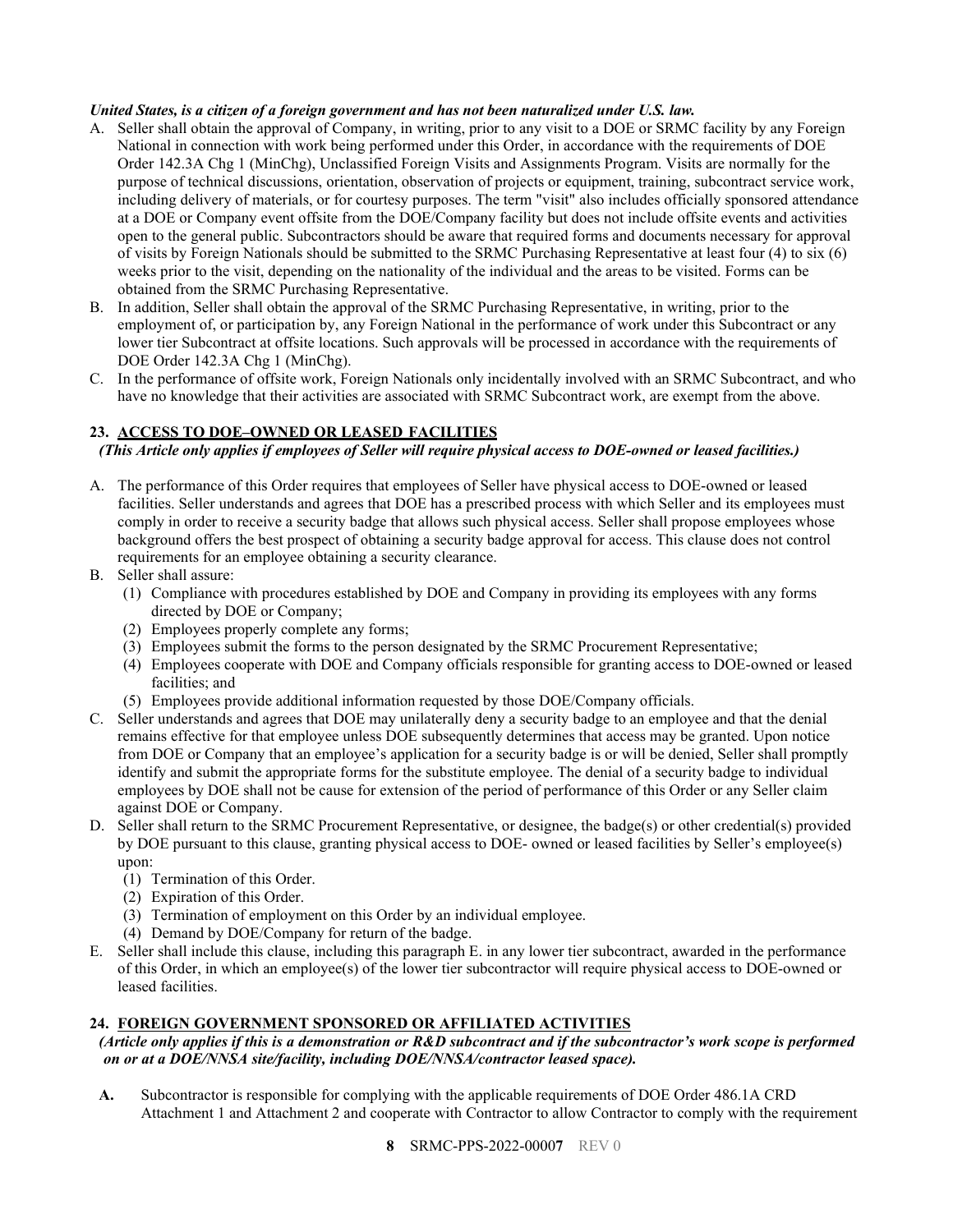#### *United States, is a citizen of a foreign government and has not been naturalized under U.S. law.*

- A. Seller shall obtain the approval of Company, in writing, prior to any visit to a DOE or SRMC facility by any Foreign National in connection with work being performed under this Order, in accordance with the requirements of DOE Order 142.3A Chg 1 (MinChg), Unclassified Foreign Visits and Assignments Program. Visits are normally for the purpose of technical discussions, orientation, observation of projects or equipment, training, subcontract service work, including delivery of materials, or for courtesy purposes. The term "visit" also includes officially sponsored attendance at a DOE or Company event offsite from the DOE/Company facility but does not include offsite events and activities open to the general public. Subcontractors should be aware that required forms and documents necessary for approval of visits by Foreign Nationals should be submitted to the SRMC Purchasing Representative at least four (4) to six (6) weeks prior to the visit, depending on the nationality of the individual and the areas to be visited. Forms can be obtained from the SRMC Purchasing Representative.
- B. In addition, Seller shall obtain the approval of the SRMC Purchasing Representative, in writing, prior to the employment of, or participation by, any Foreign National in the performance of work under this Subcontract or any lower tier Subcontract at offsite locations. Such approvals will be processed in accordance with the requirements of DOE Order 142.3A Chg 1 (MinChg).
- C. In the performance of offsite work, Foreign Nationals only incidentally involved with an SRMC Subcontract, and who have no knowledge that their activities are associated with SRMC Subcontract work, are exempt from the above.

# <span id="page-7-0"></span>**23. ACCESS TO DOE–OWNED OR LEASED FACILITIES**

*(This Article only applies if employees of Seller will require physical access to DOE-owned or leased facilities.)*

- A. The performance of this Order requires that employees of Seller have physical access to DOE-owned or leased facilities. Seller understands and agrees that DOE has a prescribed process with which Seller and its employees must comply in order to receive a security badge that allows such physical access. Seller shall propose employees whose background offers the best prospect of obtaining a security badge approval for access. This clause does not control requirements for an employee obtaining a security clearance.
- B. Seller shall assure:
	- (1) Compliance with procedures established by DOE and Company in providing its employees with any forms directed by DOE or Company;
	- (2) Employees properly complete any forms;
	- (3) Employees submit the forms to the person designated by the SRMC Procurement Representative;
	- (4) Employees cooperate with DOE and Company officials responsible for granting access to DOE-owned or leased facilities; and
	- (5) Employees provide additional information requested by those DOE/Company officials.
- C. Seller understands and agrees that DOE may unilaterally deny a security badge to an employee and that the denial remains effective for that employee unless DOE subsequently determines that access may be granted. Upon notice from DOE or Company that an employee's application for a security badge is or will be denied, Seller shall promptly identify and submit the appropriate forms for the substitute employee. The denial of a security badge to individual employees by DOE shall not be cause for extension of the period of performance of this Order or any Seller claim against DOE or Company.
- D. Seller shall return to the SRMC Procurement Representative, or designee, the badge(s) or other credential(s) provided by DOE pursuant to this clause, granting physical access to DOE- owned or leased facilities by Seller's employee(s) upon:
	- (1) Termination of this Order.
	- (2) Expiration of this Order.
	- (3) Termination of employment on this Order by an individual employee.
	- (4) Demand by DOE/Company for return of the badge.
- E. Seller shall include this clause, including this paragraph E. in any lower tier subcontract, awarded in the performance of this Order, in which an employee(s) of the lower tier subcontractor will require physical access to DOE-owned or leased facilities.

#### <span id="page-7-1"></span>**24. FOREIGN GOVERNMENT SPONSORED OR AFFILIATED ACTIVITIES**

*(Article only applies if this is a demonstration or R&D subcontract and if the subcontractor's work scope is performed on or at a DOE/NNSA site/facility, including DOE/NNSA/contractor leased space).*

**A.** Subcontractor is responsible for complying with the applicable requirements of DOE Order 486.1A CRD Attachment 1 and Attachment 2 and cooperate with Contractor to allow Contractor to comply with the requirement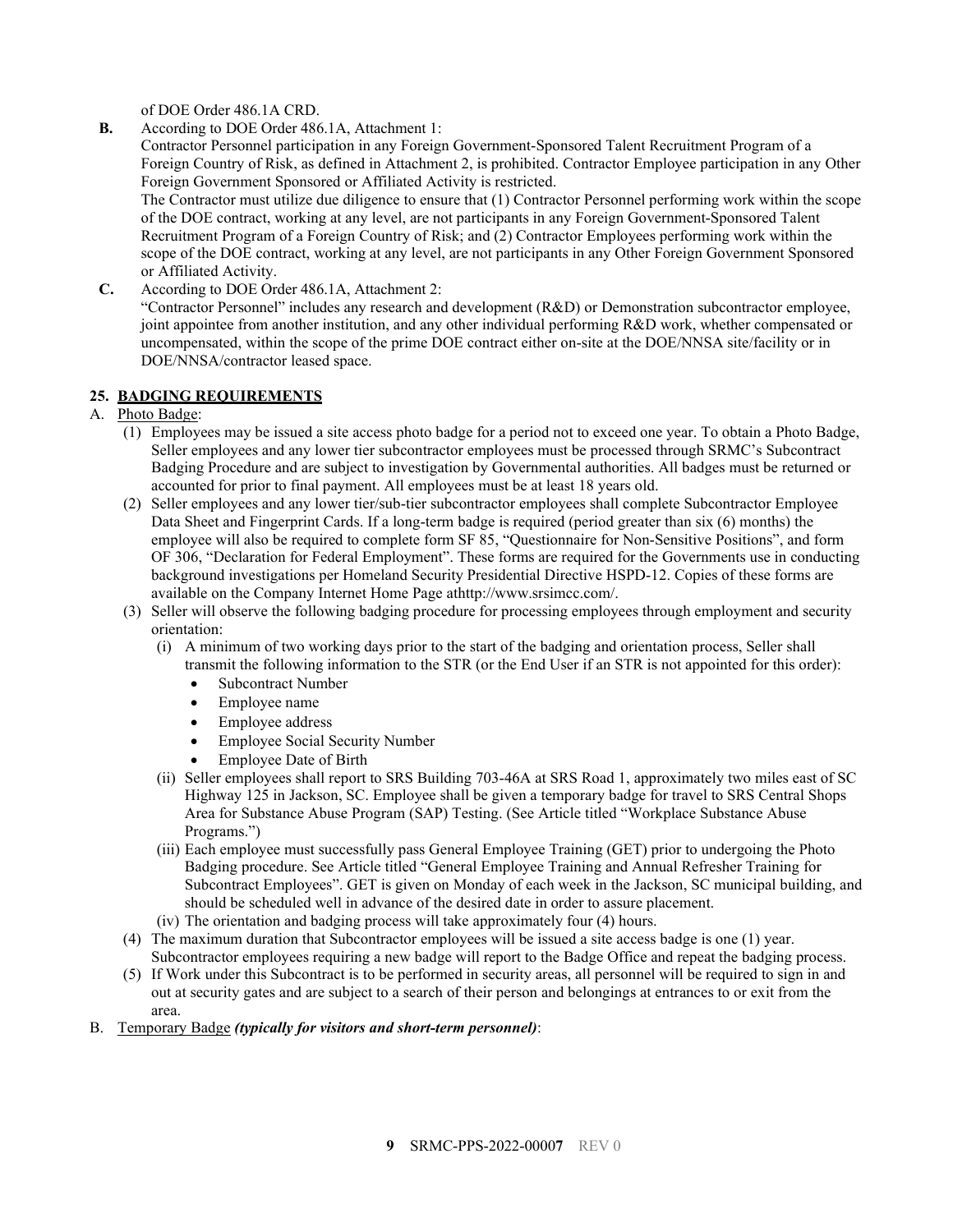of DOE Order 486.1A CRD.

**B.** According to DOE Order 486.1A, Attachment 1:

Contractor Personnel participation in any Foreign Government-Sponsored Talent Recruitment Program of a Foreign Country of Risk, as defined in Attachment 2, is prohibited. Contractor Employee participation in any Other Foreign Government Sponsored or Affiliated Activity is restricted.

The Contractor must utilize due diligence to ensure that (1) Contractor Personnel performing work within the scope of the DOE contract, working at any level, are not participants in any Foreign Government-Sponsored Talent Recruitment Program of a Foreign Country of Risk; and (2) Contractor Employees performing work within the scope of the DOE contract, working at any level, are not participants in any Other Foreign Government Sponsored or Affiliated Activity.

**C.** According to DOE Order 486.1A, Attachment 2:

"Contractor Personnel" includes any research and development (R&D) or Demonstration subcontractor employee, joint appointee from another institution, and any other individual performing R&D work, whether compensated or uncompensated, within the scope of the prime DOE contract either on-site at the DOE/NNSA site/facility or in DOE/NNSA/contractor leased space.

# <span id="page-8-0"></span>**25. BADGING REQUIREMENTS**

- A. Photo Badge:
	- (1) Employees may be issued a site access photo badge for a period not to exceed one year. To obtain a Photo Badge, Seller employees and any lower tier subcontractor employees must be processed through SRMC's Subcontract Badging Procedure and are subject to investigation by Governmental authorities. All badges must be returned or accounted for prior to final payment. All employees must be at least 18 years old.
	- (2) Seller employees and any lower tier/sub-tier subcontractor employees shall complete Subcontractor Employee Data Sheet and Fingerprint Cards. If a long-term badge is required (period greater than six (6) months) the employee will also be required to complete form SF 85, "Questionnaire for Non-Sensitive Positions", and form OF 306, "Declaration for Federal Employment". These forms are required for the Governments use in conducting background investigations per Homeland Security Presidential Directive HSPD-12. Copies of these forms are available on the Company Internet Home Page athttp://www.srsimcc.com/.
	- (3) Seller will observe the following badging procedure for processing employees through employment and security orientation:
		- (i) A minimum of two working days prior to the start of the badging and orientation process, Seller shall transmit the following information to the STR (or the End User if an STR is not appointed for this order):
			- Subcontract Number
			- Employee name
			- Employee address
			- Employee Social Security Number
			- Employee Date of Birth
		- (ii) Seller employees shall report to SRS Building 703-46A at SRS Road 1, approximately two miles east of SC Highway 125 in Jackson, SC. Employee shall be given a temporary badge for travel to SRS Central Shops Area for Substance Abuse Program (SAP) Testing. (See Article titled "Workplace Substance Abuse Programs.")
		- (iii) Each employee must successfully pass General Employee Training (GET) prior to undergoing the Photo Badging procedure. See Article titled "General Employee Training and Annual Refresher Training for Subcontract Employees". GET is given on Monday of each week in the Jackson, SC municipal building, and should be scheduled well in advance of the desired date in order to assure placement.
		- (iv) The orientation and badging process will take approximately four (4) hours.
	- (4) The maximum duration that Subcontractor employees will be issued a site access badge is one (1) year. Subcontractor employees requiring a new badge will report to the Badge Office and repeat the badging process.
	- (5) If Work under this Subcontract is to be performed in security areas, all personnel will be required to sign in and out at security gates and are subject to a search of their person and belongings at entrances to or exit from the area.
- B. Temporary Badge *(typically for visitors and short-term personnel)*: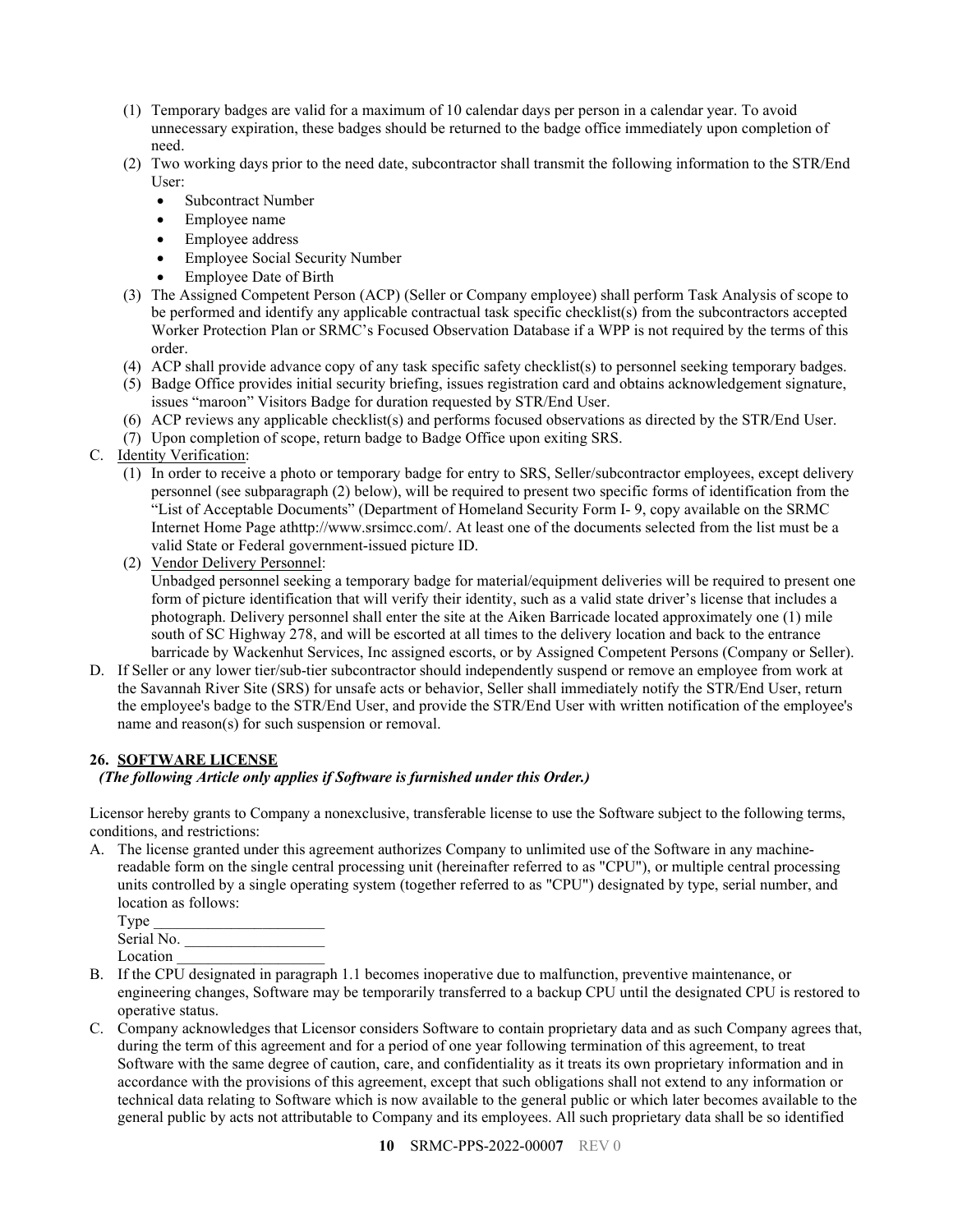- (1) Temporary badges are valid for a maximum of 10 calendar days per person in a calendar year. To avoid unnecessary expiration, these badges should be returned to the badge office immediately upon completion of need.
- (2) Two working days prior to the need date, subcontractor shall transmit the following information to the STR/End User:
	- Subcontract Number
	- Employee name
	- Employee address
	- Employee Social Security Number
	- Employee Date of Birth
- (3) The Assigned Competent Person (ACP) (Seller or Company employee) shall perform Task Analysis of scope to be performed and identify any applicable contractual task specific checklist(s) from the subcontractors accepted Worker Protection Plan or SRMC's Focused Observation Database if a WPP is not required by the terms of this order.
- (4) ACP shall provide advance copy of any task specific safety checklist(s) to personnel seeking temporary badges.
- (5) Badge Office provides initial security briefing, issues registration card and obtains acknowledgement signature, issues "maroon" Visitors Badge for duration requested by STR/End User.
- (6) ACP reviews any applicable checklist(s) and performs focused observations as directed by the STR/End User.
- (7) Upon completion of scope, return badge to Badge Office upon exiting SRS.
- C. Identity Verification:
	- (1) In order to receive a photo or temporary badge for entry to SRS, Seller/subcontractor employees, except delivery personnel (see subparagraph (2) below), will be required to present two specific forms of identification from the "List of Acceptable Documents" (Department of Homeland Security Form I- 9, copy available on the SRMC Internet Home Page athttp://www.srsimcc.com/. At least one of the documents selected from the list must be a valid State or Federal government-issued picture ID.
	- (2) Vendor Delivery Personnel:

Unbadged personnel seeking a temporary badge for material/equipment deliveries will be required to present one form of picture identification that will verify their identity, such as a valid state driver's license that includes a photograph. Delivery personnel shall enter the site at the Aiken Barricade located approximately one (1) mile south of SC Highway 278, and will be escorted at all times to the delivery location and back to the entrance barricade by Wackenhut Services, Inc assigned escorts, or by Assigned Competent Persons (Company or Seller).

D. If Seller or any lower tier/sub-tier subcontractor should independently suspend or remove an employee from work at the Savannah River Site (SRS) for unsafe acts or behavior, Seller shall immediately notify the STR/End User, return the employee's badge to the STR/End User, and provide the STR/End User with written notification of the employee's name and reason(s) for such suspension or removal.

# <span id="page-9-0"></span>**26. SOFTWARE LICENSE**

# *(The following Article only applies if Software is furnished under this Order.)*

Licensor hereby grants to Company a nonexclusive, transferable license to use the Software subject to the following terms, conditions, and restrictions:

A. The license granted under this agreement authorizes Company to unlimited use of the Software in any machinereadable form on the single central processing unit (hereinafter referred to as "CPU"), or multiple central processing units controlled by a single operating system (together referred to as "CPU") designated by type, serial number, and location as follows:

| Type       |  |
|------------|--|
| Serial No. |  |
| Location   |  |

- B. If the CPU designated in paragraph 1.1 becomes inoperative due to malfunction, preventive maintenance, or engineering changes, Software may be temporarily transferred to a backup CPU until the designated CPU is restored to operative status.
- C. Company acknowledges that Licensor considers Software to contain proprietary data and as such Company agrees that, during the term of this agreement and for a period of one year following termination of this agreement, to treat Software with the same degree of caution, care, and confidentiality as it treats its own proprietary information and in accordance with the provisions of this agreement, except that such obligations shall not extend to any information or technical data relating to Software which is now available to the general public or which later becomes available to the general public by acts not attributable to Company and its employees. All such proprietary data shall be so identified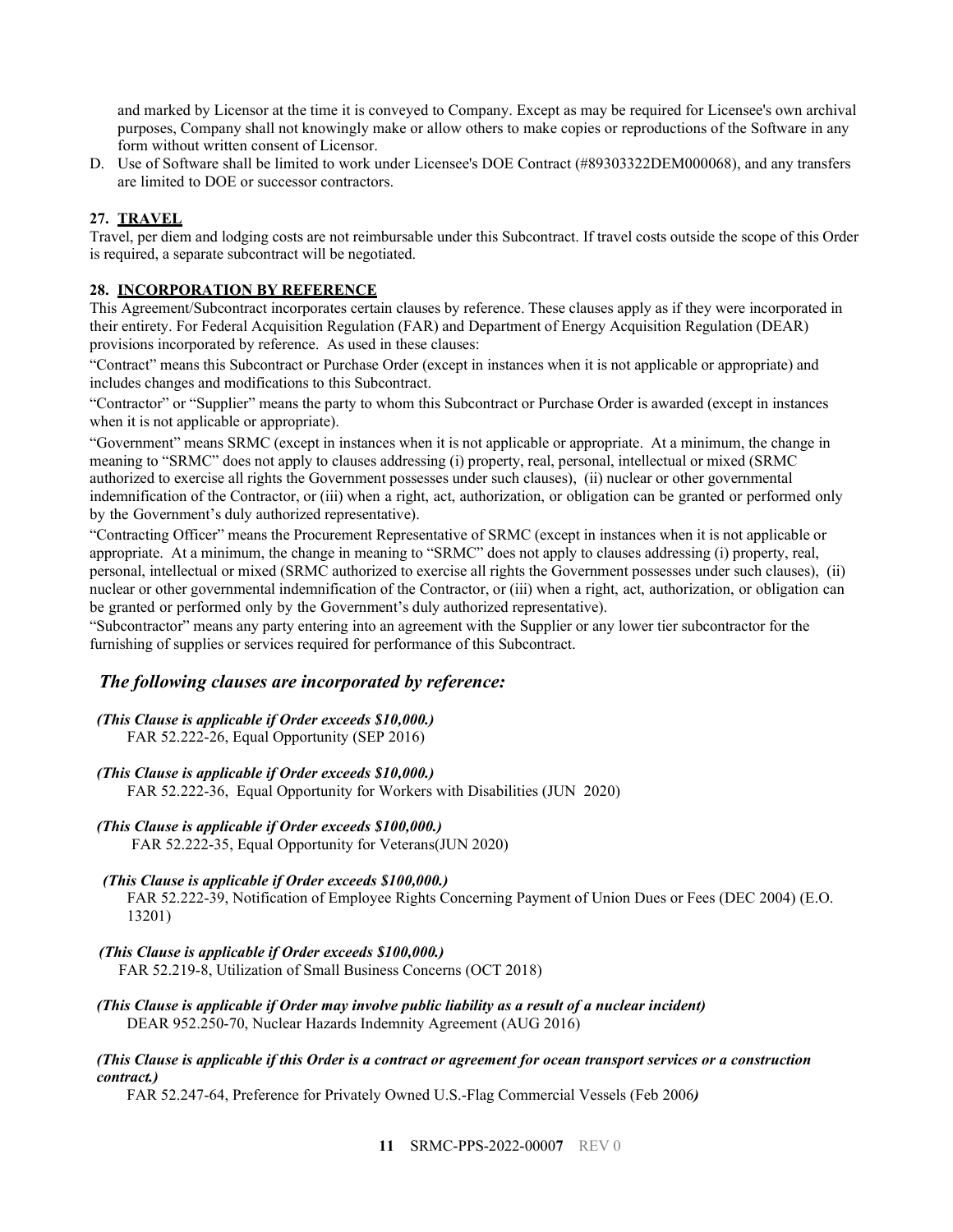and marked by Licensor at the time it is conveyed to Company. Except as may be required for Licensee's own archival purposes, Company shall not knowingly make or allow others to make copies or reproductions of the Software in any form without written consent of Licensor.

D. Use of Software shall be limited to work under Licensee's DOE Contract (#89303322DEM000068), and any transfers are limited to DOE or successor contractors.

#### <span id="page-10-0"></span>**27. TRAVEL**

Travel, per diem and lodging costs are not reimbursable under this Subcontract. If travel costs outside the scope of this Order is required, a separate subcontract will be negotiated.

#### <span id="page-10-1"></span>**28. INCORPORATION BY REFERENCE**

This Agreement/Subcontract incorporates certain clauses by reference. These clauses apply as if they were incorporated in their entirety. For Federal Acquisition Regulation (FAR) and Department of Energy Acquisition Regulation (DEAR) provisions incorporated by reference. As used in these clauses:

"Contract" means this Subcontract or Purchase Order (except in instances when it is not applicable or appropriate) and includes changes and modifications to this Subcontract.

"Contractor" or "Supplier" means the party to whom this Subcontract or Purchase Order is awarded (except in instances when it is not applicable or appropriate).

"Government" means SRMC (except in instances when it is not applicable or appropriate. At a minimum, the change in meaning to "SRMC" does not apply to clauses addressing (i) property, real, personal, intellectual or mixed (SRMC authorized to exercise all rights the Government possesses under such clauses), (ii) nuclear or other governmental indemnification of the Contractor, or (iii) when a right, act, authorization, or obligation can be granted or performed only by the Government's duly authorized representative).

"Contracting Officer" means the Procurement Representative of SRMC (except in instances when it is not applicable or appropriate. At a minimum, the change in meaning to "SRMC" does not apply to clauses addressing (i) property, real, personal, intellectual or mixed (SRMC authorized to exercise all rights the Government possesses under such clauses), (ii) nuclear or other governmental indemnification of the Contractor, or (iii) when a right, act, authorization, or obligation can be granted or performed only by the Government's duly authorized representative).

"Subcontractor" means any party entering into an agreement with the Supplier or any lower tier subcontractor for the furnishing of supplies or services required for performance of this Subcontract.

#### *The following clauses are incorporated by reference:*

# *(This Clause is applicable if Order exceeds \$10,000.)*

FAR 52.222-26, Equal Opportunity (SEP 2016)

#### *(This Clause is applicable if Order exceeds \$10,000.)*

FAR 52.222-36, Equal Opportunity for Workers with Disabilities (JUN 2020)

#### *(This Clause is applicable if Order exceeds \$100,000.)*

FAR 52.222-35, Equal Opportunity for Veterans(JUN 2020)

#### *(This Clause is applicable if Order exceeds \$100,000.)*

FAR 52.222-39, Notification of Employee Rights Concerning Payment of Union Dues or Fees (DEC 2004) (E.O. 13201)

#### *(This Clause is applicable if Order exceeds \$100,000.)*

FAR 52.219-8, Utilization of Small Business Concerns (OCT 2018)

*(This Clause is applicable if Order may involve public liability as a result of a nuclear incident)* DEAR 952.250-70, Nuclear Hazards Indemnity Agreement (AUG 2016)

#### *(This Clause is applicable if this Order is a contract or agreement for ocean transport services or a construction contract.)*

FAR 52.247-64, Preference for Privately Owned U.S.-Flag Commercial Vessels (Feb 2006*)*